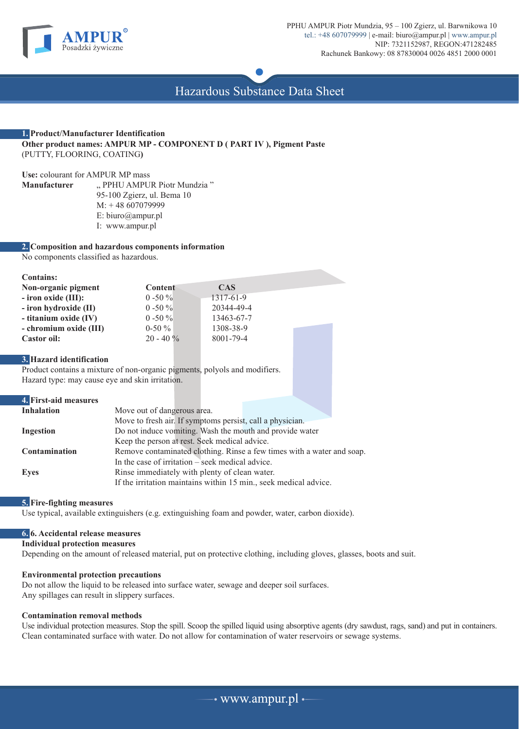

Hazardous Substance Data Sheet

### **1. Product/Manufacturer Identification Other product names: AMPUR MP - COMPONENT D ( PART IV ), Pigment Paste** (PUTTY, FLOORING, COATING**)**

**Use:** colourant for AMPUR MP mass " PPHU AMPUR Piotr Mundzia " 95-100 Zgierz, ul. Bema 10 M: + 48 607079999 E: biuro@ampur.pl I: www.ampur.pl

### **2. Composition and hazardous components information**

No components classified as hazardous.

| <b>Contains:</b>       |              |            |  |
|------------------------|--------------|------------|--|
| Non-organic pigment    | Content      | <b>CAS</b> |  |
| $-$ iron oxide (III):  | $0 - 50 \%$  | 1317-61-9  |  |
| - iron hydroxide (II)  | $0 - 50 \%$  | 20344-49-4 |  |
| - titanium oxide (IV)  | $0 - 50 \%$  | 13463-67-7 |  |
| - chromium oxide (III) | $0-50\%$     | 1308-38-9  |  |
| Castor oil:            | $20 - 40 \%$ | 8001-79-4  |  |

## **3. Hazard identification**

Product contains a mixture of non-organic pigments, polyols and modifiers. Hazard type: may cause eye and skin irritation.

# **4. First-aid measures Inhalation** Move out of dangerous area. Move to fresh air. If symptoms persist, call a physician. **Ingestion** Do not induce vomiting. Wash the mouth and provide water Keep the person at rest. Seek medical advice. **Contamination** Remove contaminated clothing. Rinse a few times with a water and soap. In the case of irritation – seek medical advice. **Eyes Rinse immediately with plenty of clean water.** If the irritation maintains within 15 min., seek medical advice.

### **5. Fire-fighting measures**

Use typical, available extinguishers (e.g. extinguishing foam and powder, water, carbon dioxide).

# **6. 6. Accidental release measures**

**Individual protection measures**

Depending on the amount of released material, put on protective clothing, including gloves, glasses, boots and suit.

### **Environmental protection precautions**

Do not allow the liquid to be released into surface water, sewage and deeper soil surfaces. Any spillages can result in slippery surfaces.

### **Contamination removal methods**

Use individual protection measures. Stop the spill. Scoop the spilled liquid using absorptive agents (dry sawdust, rags, sand) and put in containers. Clean contaminated surface with water. Do not allow for contamination of water reservoirs or sewage systems.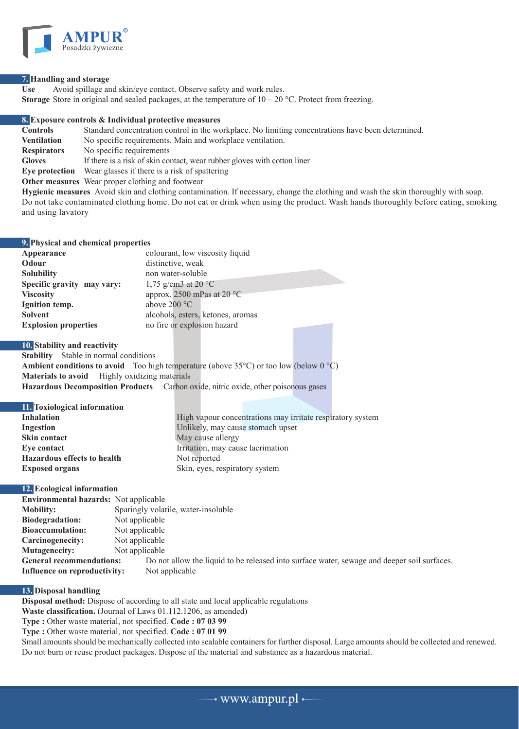

### **7. Handling and storage**

Use Avoid spillage and skin/eye contact. Observe safety and work rules. **Storage** Store in original and sealed packages, at the temperature of  $10 - 20$  °C. Protect from freezing.

**8. Exposure controls & Individual protective measures Controls** Standard concentration control in the workplace. No limiting concentrations have been determined. **Ventilation** No specific requirements. Main and workplace ventilation. **Respirators** No specific requirements **Gloves** If there is a risk of skin contact, wear rubber gloves with cotton liner **Eye protection** Wear glasses if there is a risk of spattering **Other measures** Wear proper clothing and footwear

**Hygienic measures** Avoid skin and clothing contamination. If necessary, change the clothing and wash the skin thoroughly with soap. Do not take contaminated clothing home. Do not eat or drink when using the product. Wash hands thoroughly before eating, smoking and using lavatory

| 9. Physical and chemical properties |                                      |  |  |
|-------------------------------------|--------------------------------------|--|--|
| Appearance                          | colourant, low viscosity liquid      |  |  |
| Odour                               | distinctive, weak                    |  |  |
| <b>Solubility</b>                   | non water-soluble                    |  |  |
| Specific gravity may vary:          | 1,75 g/cm3 at 20 $^{\circ}$ C        |  |  |
| <b>Viscosity</b>                    | approx. 2500 mPas at 20 $^{\circ}$ C |  |  |
| Ignition temp.                      | above $200 °C$                       |  |  |
| <b>Solvent</b>                      | alcohols, esters, ketones, aromas    |  |  |
| <b>Explosion properties</b>         | no fire or explosion hazard          |  |  |

### **10. Stability and reactivity**

**Stability** Stable in normal conditions **Ambient conditions to avoid** Too high temperature (above  $35^{\circ}$ C) or too low (below  $0^{\circ}$ C) **Materials to avoid** Highly oxidizing materials **Hazardous Decomposition Products** Carbon oxide, nitric oxide, other poisonous gases

# **11. Toxiological information**

| 11. TOXIOIO2ICAI IIIIOI IIIAUOII   |                                                            |
|------------------------------------|------------------------------------------------------------|
| Inhalation                         | High vapour concentrations may irritate respiratory system |
| Ingestion                          | Unlikely, may cause stomach upset                          |
| <b>Skin contact</b>                | May cause allergy                                          |
| Eve contact                        | Irritation, may cause lacrimation                          |
| <b>Hazardous effects to health</b> | Not reported                                               |
| <b>Exposed organs</b>              | Skin, eyes, respiratory system                             |
|                                    |                                                            |

# **12. Ecological information**

|                                     | <b>Environmental hazards:</b> Not applicable |                                                                                             |  |
|-------------------------------------|----------------------------------------------|---------------------------------------------------------------------------------------------|--|
|                                     | <b>Mobility:</b>                             | Sparingly volatile, water-insoluble                                                         |  |
|                                     | <b>Biodegradation:</b>                       | Not applicable                                                                              |  |
|                                     | <b>Bioaccumulation:</b>                      | Not applicable                                                                              |  |
|                                     | Carcinogenecity:                             | Not applicable                                                                              |  |
|                                     | <b>Mutagenecity:</b>                         | Not applicable                                                                              |  |
| <b>General recommendations:</b>     |                                              | Do not allow the liquid to be released into surface water, sewage and deeper soil surfaces. |  |
| <b>Influence on reproductivity:</b> |                                              | Not applicable                                                                              |  |
|                                     |                                              |                                                                                             |  |

# **13. Disposal handling**

**Disposal method:** Dispose of according to all state and local applicable regulations

**Waste classification.** (Journal of Laws 01.112.1206, as amended)

**Type :** Other waste material, not specified. **Code : 07 03 99**

**Type :** Other waste material, not specified. **Code : 07 01 99**

Small amounts should be mechanically collected into sealable containers for further disposal. Large amounts should be collected and renewed. Do not burn or reuse product packages. Dispose of the material and substance as a hazardous material.